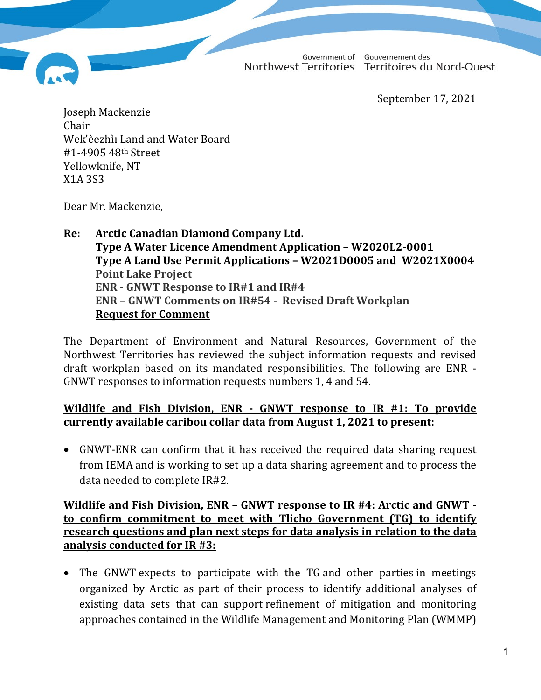Government of Gouvernement des Northwest Territories Territoires du Nord-Ouest

September 17, 2021

Joseph Mackenzie Chair Wek'èezhìı Land and Water Board #1-4905 48th Street Yellowknife, NT X1A 3S3

Dear Mr. Mackenzie,

### Re: Arctic Canadian Diamond Company Ltd. Type A Water Licence Amendment Application – W2020L2-0001 Type A Land Use Permit Applications – W2021D0005 and W2021X0004 Point Lake Project ENR - GNWT Response to IR#1 and IR#4 ENR – GNWT Comments on IR#54 - Revised Draft Workplan Request for Comment

The Department of Environment and Natural Resources, Government of the Northwest Territories has reviewed the subject information requests and revised draft workplan based on its mandated responsibilities. The following are ENR - GNWT responses to information requests numbers 1, 4 and 54.

# Wildlife and Fish Division, ENR - GNWT response to IR #1: To provide currently available caribou collar data from August 1, 2021 to present:

 GNWT-ENR can confirm that it has received the required data sharing request from IEMA and is working to set up a data sharing agreement and to process the data needed to complete IR#2.

### Wildlife and Fish Division, ENR – GNWT response to IR #4: Arctic and GNWT to confirm commitment to meet with Tlicho Government (TG) to identify research questions and plan next steps for data analysis in relation to the data analysis conducted for IR #3:

 The GNWT expects to participate with the TG and other parties in meetings organized by Arctic as part of their process to identify additional analyses of existing data sets that can support refinement of mitigation and monitoring approaches contained in the Wildlife Management and Monitoring Plan (WMMP)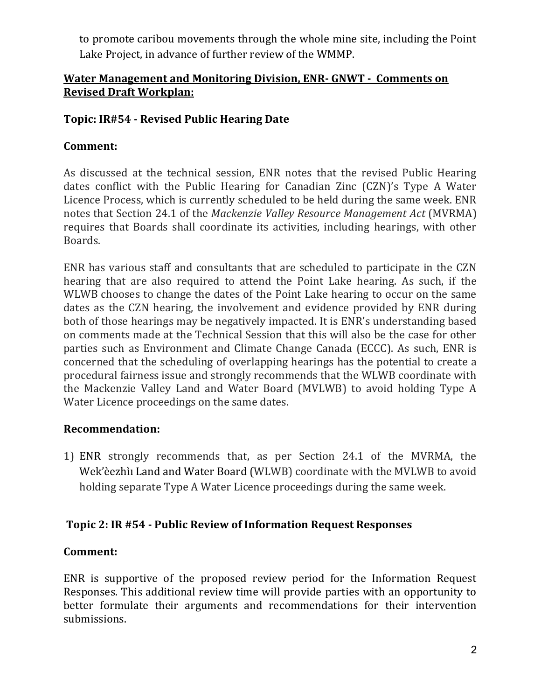to promote caribou movements through the whole mine site, including the Point Lake Project, in advance of further review of the WMMP.

# Water Management and Monitoring Division, ENR- GNWT - Comments on Revised Draft Workplan:

# Topic: IR#54 - Revised Public Hearing Date

# Comment:

As discussed at the technical session, ENR notes that the revised Public Hearing dates conflict with the Public Hearing for Canadian Zinc (CZN)'s Type A Water Licence Process, which is currently scheduled to be held during the same week. ENR notes that Section 24.1 of the Mackenzie Valley Resource Management Act (MVRMA) requires that Boards shall coordinate its activities, including hearings, with other Boards.

ENR has various staff and consultants that are scheduled to participate in the CZN hearing that are also required to attend the Point Lake hearing. As such, if the WLWB chooses to change the dates of the Point Lake hearing to occur on the same dates as the CZN hearing, the involvement and evidence provided by ENR during both of those hearings may be negatively impacted. It is ENR's understanding based on comments made at the Technical Session that this will also be the case for other parties such as Environment and Climate Change Canada (ECCC). As such, ENR is concerned that the scheduling of overlapping hearings has the potential to create a procedural fairness issue and strongly recommends that the WLWB coordinate with the Mackenzie Valley Land and Water Board (MVLWB) to avoid holding Type A Water Licence proceedings on the same dates.

# Recommendation:

1) ENR strongly recommends that, as per Section 24.1 of the MVRMA, the Wek'èezhìı Land and Water Board (WLWB) coordinate with the MVLWB to avoid holding separate Type A Water Licence proceedings during the same week.

# Topic 2: IR #54 - Public Review of Information Request Responses

# Comment:

ENR is supportive of the proposed review period for the Information Request Responses. This additional review time will provide parties with an opportunity to better formulate their arguments and recommendations for their intervention submissions.